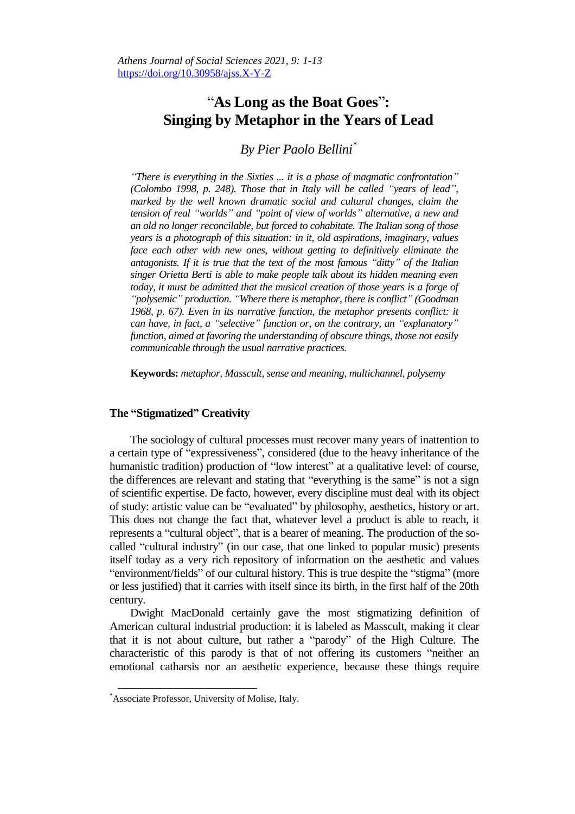# "**As Long as the Boat Goes**"**: Singing by Metaphor in the Years of Lead**

*By Pier Paolo Bellini\**

*"There is everything in the Sixties ... it is a phase of magmatic confrontation" (Colombo 1998, p. 248). Those that in Italy will be called "years of lead", marked by the well known dramatic social and cultural changes, claim the tension of real "worlds" and "point of view of worlds" alternative, a new and an old no longer reconcilable, but forced to cohabitate. The Italian song of those years is a photograph of this situation: in it, old aspirations, imaginary, values face each other with new ones, without getting to definitively eliminate the antagonists. If it is true that the text of the most famous "ditty" of the Italian singer Orietta Berti is able to make people talk about its hidden meaning even today, it must be admitted that the musical creation of those years is a forge of "polysemic" production. "Where there is metaphor, there is conflict" (Goodman 1968, p. 67). Even in its narrative function, the metaphor presents conflict: it can have, in fact, a "selective" function or, on the contrary, an "explanatory" function, aimed at favoring the understanding of obscure things, those not easily communicable through the usual narrative practices.*

**Keywords:** *metaphor, Masscult, sense and meaning, multichannel, polysemy*

## **The "Stigmatized" Creativity**

The sociology of cultural processes must recover many years of inattention to a certain type of "expressiveness", considered (due to the heavy inheritance of the humanistic tradition) production of "low interest" at a qualitative level: of course, the differences are relevant and stating that "everything is the same" is not a sign of scientific expertise. De facto, however, every discipline must deal with its object of study: artistic value can be "evaluated" by philosophy, aesthetics, history or art. This does not change the fact that, whatever level a product is able to reach, it represents a "cultural object", that is a bearer of meaning. The production of the socalled "cultural industry" (in our case, that one linked to popular music) presents itself today as a very rich repository of information on the aesthetic and values "environment/fields" of our cultural history. This is true despite the "stigma" (more or less justified) that it carries with itself since its birth, in the first half of the 20th century.

Dwight MacDonald certainly gave the most stigmatizing definition of American cultural industrial production: it is labeled as Masscult, making it clear that it is not about culture, but rather a "parody" of the High Culture. The characteristic of this parody is that of not offering its customers "neither an emotional catharsis nor an aesthetic experience, because these things require

 $\overline{a}$ 

<sup>\*</sup>Associate Professor, University of Molise, Italy.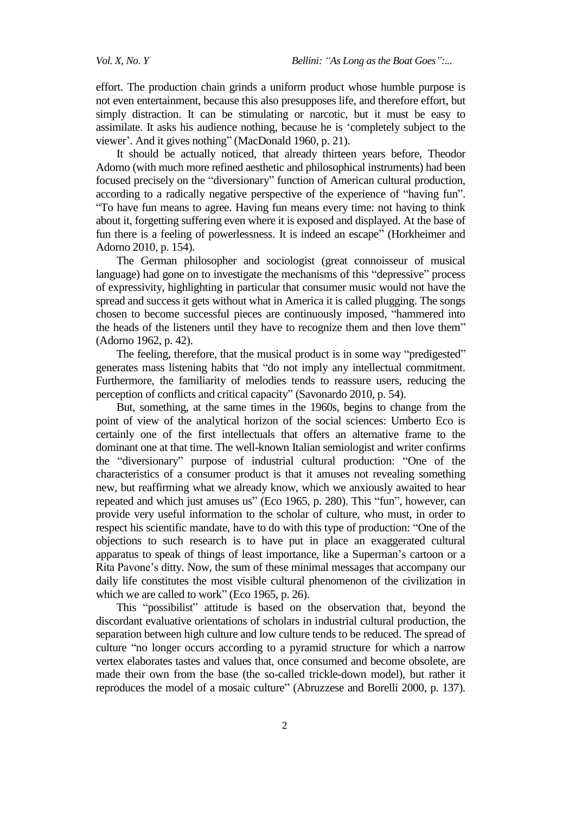effort. The production chain grinds a uniform product whose humble purpose is not even entertainment, because this also presupposes life, and therefore effort, but simply distraction. It can be stimulating or narcotic, but it must be easy to assimilate. It asks his audience nothing, because he is "completely subject to the viewer'. And it gives nothing" (MacDonald 1960, p. 21).

It should be actually noticed, that already thirteen years before, Theodor Adorno (with much more refined aesthetic and philosophical instruments) had been focused precisely on the "diversionary" function of American cultural production, according to a radically negative perspective of the experience of "having fun". "To have fun means to agree. Having fun means every time: not having to think about it, forgetting suffering even where it is exposed and displayed. At the base of fun there is a feeling of powerlessness. It is indeed an escape" (Horkheimer and Adorno 2010, p. 154).

The German philosopher and sociologist (great connoisseur of musical language) had gone on to investigate the mechanisms of this "depressive" process of expressivity, highlighting in particular that consumer music would not have the spread and success it gets without what in America it is called plugging. The songs chosen to become successful pieces are continuously imposed, "hammered into the heads of the listeners until they have to recognize them and then love them" (Adorno 1962, p. 42).

The feeling, therefore, that the musical product is in some way "predigested" generates mass listening habits that "do not imply any intellectual commitment. Furthermore, the familiarity of melodies tends to reassure users, reducing the perception of conflicts and critical capacity" (Savonardo 2010, p. 54).

But, something, at the same times in the 1960s, begins to change from the point of view of the analytical horizon of the social sciences: Umberto Eco is certainly one of the first intellectuals that offers an alternative frame to the dominant one at that time. The well-known Italian semiologist and writer confirms the "diversionary" purpose of industrial cultural production: "One of the characteristics of a consumer product is that it amuses not revealing something new, but reaffirming what we already know, which we anxiously awaited to hear repeated and which just amuses us" (Eco 1965, p. 280). This "fun", however, can provide very useful information to the scholar of culture, who must, in order to respect his scientific mandate, have to do with this type of production: "One of the objections to such research is to have put in place an exaggerated cultural apparatus to speak of things of least importance, like a Superman"s cartoon or a Rita Pavone"s ditty. Now, the sum of these minimal messages that accompany our daily life constitutes the most visible cultural phenomenon of the civilization in which we are called to work" (Eco 1965, p. 26).

This "possibilist" attitude is based on the observation that, beyond the discordant evaluative orientations of scholars in industrial cultural production, the separation between high culture and low culture tends to be reduced. The spread of culture "no longer occurs according to a pyramid structure for which a narrow vertex elaborates tastes and values that, once consumed and become obsolete, are made their own from the base (the so-called trickle-down model), but rather it reproduces the model of a mosaic culture" (Abruzzese and Borelli 2000, p. 137).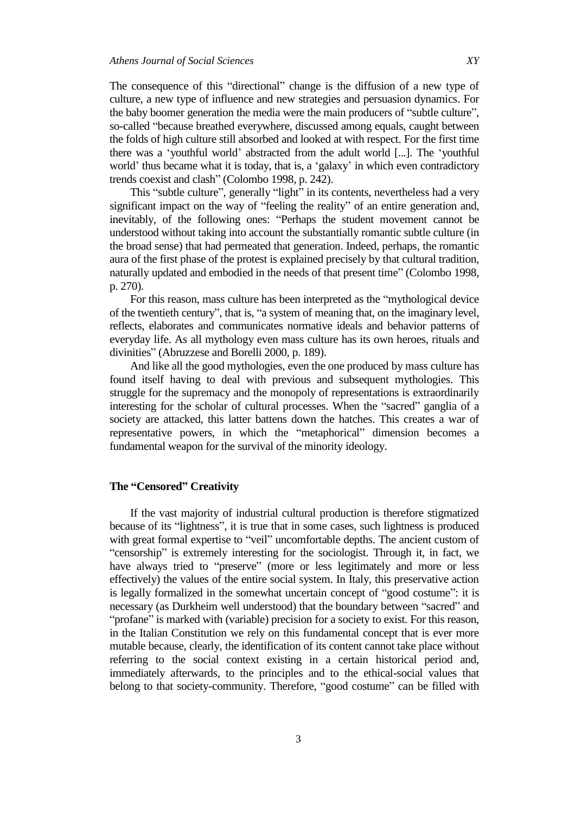The consequence of this "directional" change is the diffusion of a new type of culture, a new type of influence and new strategies and persuasion dynamics. For the baby boomer generation the media were the main producers of "subtle culture", so-called "because breathed everywhere, discussed among equals, caught between the folds of high culture still absorbed and looked at with respect. For the first time there was a "youthful world" abstracted from the adult world [...]. The "youthful world' thus became what it is today, that is, a 'galaxy' in which even contradictory trends coexist and clash" (Colombo 1998, p. 242).

This "subtle culture", generally "light" in its contents, nevertheless had a very significant impact on the way of "feeling the reality" of an entire generation and, inevitably, of the following ones: "Perhaps the student movement cannot be understood without taking into account the substantially romantic subtle culture (in the broad sense) that had permeated that generation. Indeed, perhaps, the romantic aura of the first phase of the protest is explained precisely by that cultural tradition, naturally updated and embodied in the needs of that present time" (Colombo 1998, p. 270).

For this reason, mass culture has been interpreted as the "mythological device of the twentieth century", that is, "a system of meaning that, on the imaginary level, reflects, elaborates and communicates normative ideals and behavior patterns of everyday life. As all mythology even mass culture has its own heroes, rituals and divinities" (Abruzzese and Borelli 2000, p. 189).

And like all the good mythologies, even the one produced by mass culture has found itself having to deal with previous and subsequent mythologies. This struggle for the supremacy and the monopoly of representations is extraordinarily interesting for the scholar of cultural processes. When the "sacred" ganglia of a society are attacked, this latter battens down the hatches. This creates a war of representative powers, in which the "metaphorical" dimension becomes a fundamental weapon for the survival of the minority ideology.

## **The "Censored" Creativity**

If the vast majority of industrial cultural production is therefore stigmatized because of its "lightness", it is true that in some cases, such lightness is produced with great formal expertise to "veil" uncomfortable depths. The ancient custom of "censorship" is extremely interesting for the sociologist. Through it, in fact, we have always tried to "preserve" (more or less legitimately and more or less effectively) the values of the entire social system. In Italy, this preservative action is legally formalized in the somewhat uncertain concept of "good costume": it is necessary (as Durkheim well understood) that the boundary between "sacred" and "profane" is marked with (variable) precision for a society to exist. For this reason, in the Italian Constitution we rely on this fundamental concept that is ever more mutable because, clearly, the identification of its content cannot take place without referring to the social context existing in a certain historical period and, immediately afterwards, to the principles and to the ethical-social values that belong to that society-community. Therefore, "good costume" can be filled with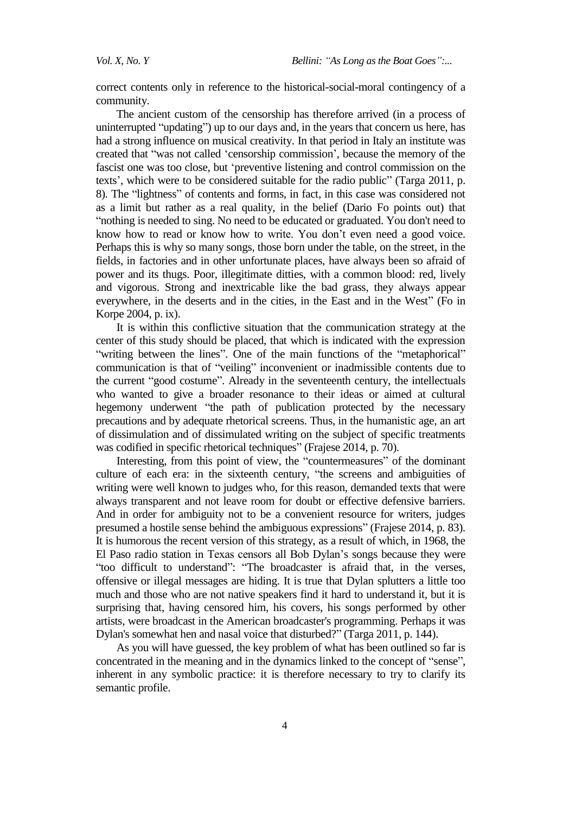*Vol. X, No. Y Bellini: "As Long as the Boat Goes":...* 

correct contents only in reference to the historical-social-moral contingency of a community.

The ancient custom of the censorship has therefore arrived (in a process of uninterrupted "updating") up to our days and, in the years that concern us here, has had a strong influence on musical creativity. In that period in Italy an institute was created that "was not called "censorship commission", because the memory of the fascist one was too close, but "preventive listening and control commission on the texts', which were to be considered suitable for the radio public" (Targa 2011, p. 8). The "lightness" of contents and forms, in fact, in this case was considered not as a limit but rather as a real quality, in the belief (Dario Fo points out) that "nothing is needed to sing. No need to be educated or graduated. You don't need to know how to read or know how to write. You don't even need a good voice. Perhaps this is why so many songs, those born under the table, on the street, in the fields, in factories and in other unfortunate places, have always been so afraid of power and its thugs. Poor, illegitimate ditties, with a common blood: red, lively and vigorous. Strong and inextricable like the bad grass, they always appear everywhere, in the deserts and in the cities, in the East and in the West" (Fo in Korpe 2004, p. ix).

It is within this conflictive situation that the communication strategy at the center of this study should be placed, that which is indicated with the expression "writing between the lines". One of the main functions of the "metaphorical" communication is that of "veiling" inconvenient or inadmissible contents due to the current "good costume". Already in the seventeenth century, the intellectuals who wanted to give a broader resonance to their ideas or aimed at cultural hegemony underwent "the path of publication protected by the necessary precautions and by adequate rhetorical screens. Thus, in the humanistic age, an art of dissimulation and of dissimulated writing on the subject of specific treatments was codified in specific rhetorical techniques" (Frajese 2014, p. 70).

Interesting, from this point of view, the "countermeasures" of the dominant culture of each era: in the sixteenth century, "the screens and ambiguities of writing were well known to judges who, for this reason, demanded texts that were always transparent and not leave room for doubt or effective defensive barriers. And in order for ambiguity not to be a convenient resource for writers, judges presumed a hostile sense behind the ambiguous expressions" (Frajese 2014, p. 83). It is humorous the recent version of this strategy, as a result of which, in 1968, the El Paso radio station in Texas censors all Bob Dylan"s songs because they were "too difficult to understand": "The broadcaster is afraid that, in the verses, offensive or illegal messages are hiding. It is true that Dylan splutters a little too much and those who are not native speakers find it hard to understand it, but it is surprising that, having censored him, his covers, his songs performed by other artists, were broadcast in the American broadcaster's programming. Perhaps it was Dylan's somewhat hen and nasal voice that disturbed?" (Targa 2011, p. 144).

As you will have guessed, the key problem of what has been outlined so far is concentrated in the meaning and in the dynamics linked to the concept of "sense", inherent in any symbolic practice: it is therefore necessary to try to clarify its semantic profile.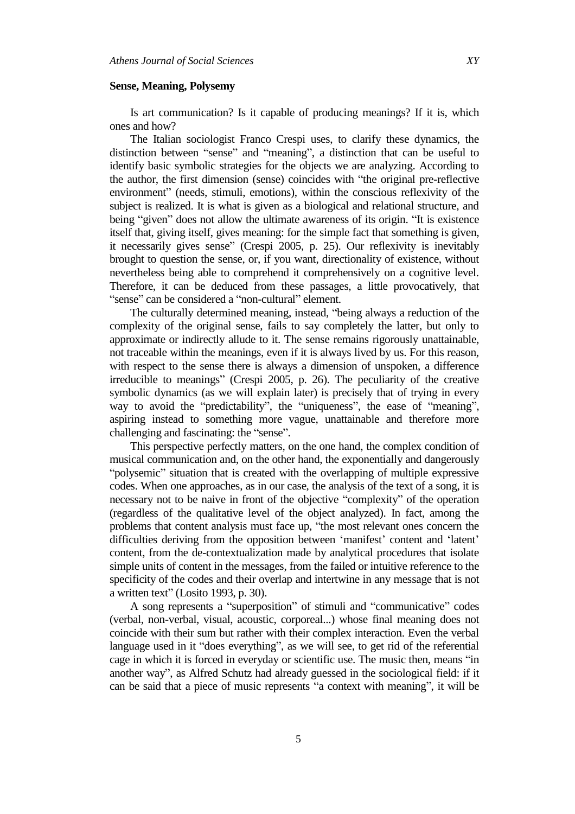#### **Sense, Meaning, Polysemy**

Is art communication? Is it capable of producing meanings? If it is, which ones and how?

The Italian sociologist Franco Crespi uses, to clarify these dynamics, the distinction between "sense" and "meaning", a distinction that can be useful to identify basic symbolic strategies for the objects we are analyzing. According to the author, the first dimension (sense) coincides with "the original pre-reflective environment" (needs, stimuli, emotions), within the conscious reflexivity of the subject is realized. It is what is given as a biological and relational structure, and being "given" does not allow the ultimate awareness of its origin. "It is existence itself that, giving itself, gives meaning: for the simple fact that something is given, it necessarily gives sense" (Crespi 2005, p. 25). Our reflexivity is inevitably brought to question the sense, or, if you want, directionality of existence, without nevertheless being able to comprehend it comprehensively on a cognitive level. Therefore, it can be deduced from these passages, a little provocatively, that "sense" can be considered a "non-cultural" element.

The culturally determined meaning, instead, "being always a reduction of the complexity of the original sense, fails to say completely the latter, but only to approximate or indirectly allude to it. The sense remains rigorously unattainable, not traceable within the meanings, even if it is always lived by us. For this reason, with respect to the sense there is always a dimension of unspoken, a difference irreducible to meanings" (Crespi 2005, p. 26). The peculiarity of the creative symbolic dynamics (as we will explain later) is precisely that of trying in every way to avoid the "predictability", the "uniqueness", the ease of "meaning", aspiring instead to something more vague, unattainable and therefore more challenging and fascinating: the "sense".

This perspective perfectly matters, on the one hand, the complex condition of musical communication and, on the other hand, the exponentially and dangerously "polysemic" situation that is created with the overlapping of multiple expressive codes. When one approaches, as in our case, the analysis of the text of a song, it is necessary not to be naive in front of the objective "complexity" of the operation (regardless of the qualitative level of the object analyzed). In fact, among the problems that content analysis must face up, "the most relevant ones concern the difficulties deriving from the opposition between 'manifest' content and 'latent' content, from the de-contextualization made by analytical procedures that isolate simple units of content in the messages, from the failed or intuitive reference to the specificity of the codes and their overlap and intertwine in any message that is not a written text" (Losito 1993, p. 30).

A song represents a "superposition" of stimuli and "communicative" codes (verbal, non-verbal, visual, acoustic, corporeal...) whose final meaning does not coincide with their sum but rather with their complex interaction. Even the verbal language used in it "does everything", as we will see, to get rid of the referential cage in which it is forced in everyday or scientific use. The music then, means "in another way", as Alfred Schutz had already guessed in the sociological field: if it can be said that a piece of music represents "a context with meaning", it will be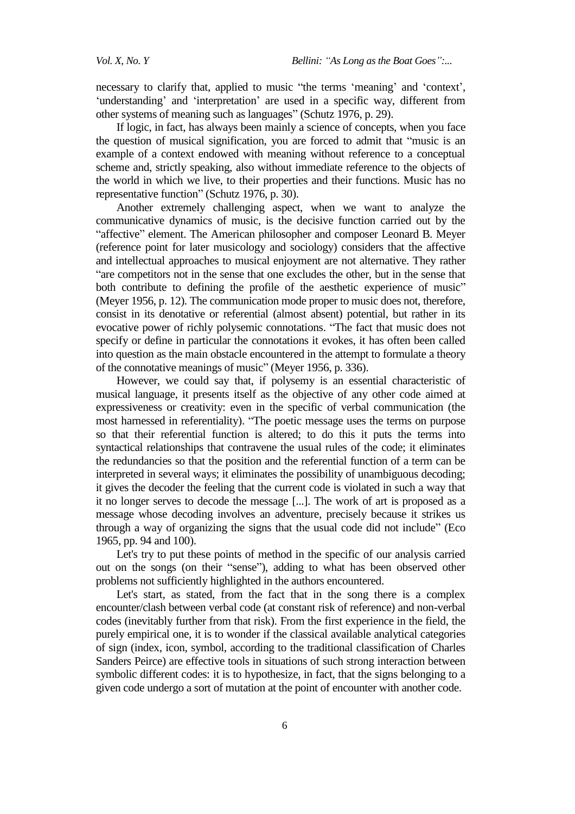necessary to clarify that, applied to music "the terms 'meaning' and 'context', 'understanding' and 'interpretation' are used in a specific way, different from other systems of meaning such as languages" (Schutz 1976, p. 29).

If logic, in fact, has always been mainly a science of concepts, when you face the question of musical signification, you are forced to admit that "music is an example of a context endowed with meaning without reference to a conceptual scheme and, strictly speaking, also without immediate reference to the objects of the world in which we live, to their properties and their functions. Music has no representative function" (Schutz 1976, p. 30).

Another extremely challenging aspect, when we want to analyze the communicative dynamics of music, is the decisive function carried out by the "affective" element. The American philosopher and composer Leonard B. Meyer (reference point for later musicology and sociology) considers that the affective and intellectual approaches to musical enjoyment are not alternative. They rather "are competitors not in the sense that one excludes the other, but in the sense that both contribute to defining the profile of the aesthetic experience of music" (Meyer 1956, p. 12). The communication mode proper to music does not, therefore, consist in its denotative or referential (almost absent) potential, but rather in its evocative power of richly polysemic connotations. "The fact that music does not specify or define in particular the connotations it evokes, it has often been called into question as the main obstacle encountered in the attempt to formulate a theory of the connotative meanings of music" (Meyer 1956, p. 336).

However, we could say that, if polysemy is an essential characteristic of musical language, it presents itself as the objective of any other code aimed at expressiveness or creativity: even in the specific of verbal communication (the most harnessed in referentiality). "The poetic message uses the terms on purpose so that their referential function is altered; to do this it puts the terms into syntactical relationships that contravene the usual rules of the code; it eliminates the redundancies so that the position and the referential function of a term can be interpreted in several ways; it eliminates the possibility of unambiguous decoding; it gives the decoder the feeling that the current code is violated in such a way that it no longer serves to decode the message [...]. The work of art is proposed as a message whose decoding involves an adventure, precisely because it strikes us through a way of organizing the signs that the usual code did not include" (Eco 1965, pp. 94 and 100).

Let's try to put these points of method in the specific of our analysis carried out on the songs (on their "sense"), adding to what has been observed other problems not sufficiently highlighted in the authors encountered.

Let's start, as stated, from the fact that in the song there is a complex encounter/clash between verbal code (at constant risk of reference) and non-verbal codes (inevitably further from that risk). From the first experience in the field, the purely empirical one, it is to wonder if the classical available analytical categories of sign (index, icon, symbol, according to the traditional classification of Charles Sanders Peirce) are effective tools in situations of such strong interaction between symbolic different codes: it is to hypothesize, in fact, that the signs belonging to a given code undergo a sort of mutation at the point of encounter with another code.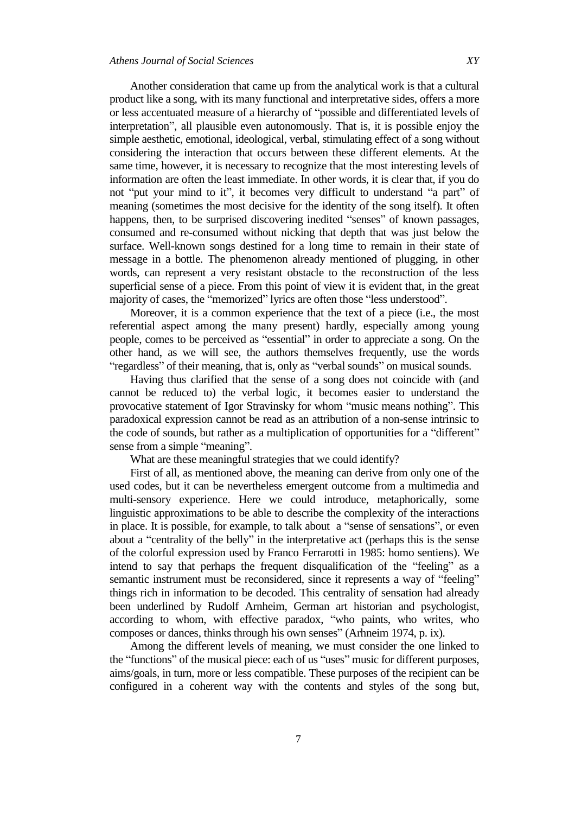Another consideration that came up from the analytical work is that a cultural product like a song, with its many functional and interpretative sides, offers a more or less accentuated measure of a hierarchy of "possible and differentiated levels of interpretation", all plausible even autonomously. That is, it is possible enjoy the simple aesthetic, emotional, ideological, verbal, stimulating effect of a song without considering the interaction that occurs between these different elements. At the same time, however, it is necessary to recognize that the most interesting levels of information are often the least immediate. In other words, it is clear that, if you do not "put your mind to it", it becomes very difficult to understand "a part" of meaning (sometimes the most decisive for the identity of the song itself). It often happens, then, to be surprised discovering inedited "senses" of known passages, consumed and re-consumed without nicking that depth that was just below the surface. Well-known songs destined for a long time to remain in their state of message in a bottle. The phenomenon already mentioned of plugging, in other words, can represent a very resistant obstacle to the reconstruction of the less superficial sense of a piece. From this point of view it is evident that, in the great majority of cases, the "memorized" lyrics are often those "less understood".

Moreover, it is a common experience that the text of a piece (i.e., the most referential aspect among the many present) hardly, especially among young people, comes to be perceived as "essential" in order to appreciate a song. On the other hand, as we will see, the authors themselves frequently, use the words "regardless" of their meaning, that is, only as "verbal sounds" on musical sounds.

Having thus clarified that the sense of a song does not coincide with (and cannot be reduced to) the verbal logic, it becomes easier to understand the provocative statement of Igor Stravinsky for whom "music means nothing". This paradoxical expression cannot be read as an attribution of a non-sense intrinsic to the code of sounds, but rather as a multiplication of opportunities for a "different" sense from a simple "meaning".

What are these meaningful strategies that we could identify?

First of all, as mentioned above, the meaning can derive from only one of the used codes, but it can be nevertheless emergent outcome from a multimedia and multi-sensory experience. Here we could introduce, metaphorically, some linguistic approximations to be able to describe the complexity of the interactions in place. It is possible, for example, to talk about a "sense of sensations", or even about a "centrality of the belly" in the interpretative act (perhaps this is the sense of the colorful expression used by Franco Ferrarotti in 1985: homo sentiens). We intend to say that perhaps the frequent disqualification of the "feeling" as a semantic instrument must be reconsidered, since it represents a way of "feeling" things rich in information to be decoded. This centrality of sensation had already been underlined by Rudolf Arnheim, German art historian and psychologist, according to whom, with effective paradox, "who paints, who writes, who composes or dances, thinks through his own senses" (Arhneim 1974, p. ix).

Among the different levels of meaning, we must consider the one linked to the "functions" of the musical piece: each of us "uses" music for different purposes, aims/goals, in turn, more or less compatible. These purposes of the recipient can be configured in a coherent way with the contents and styles of the song but,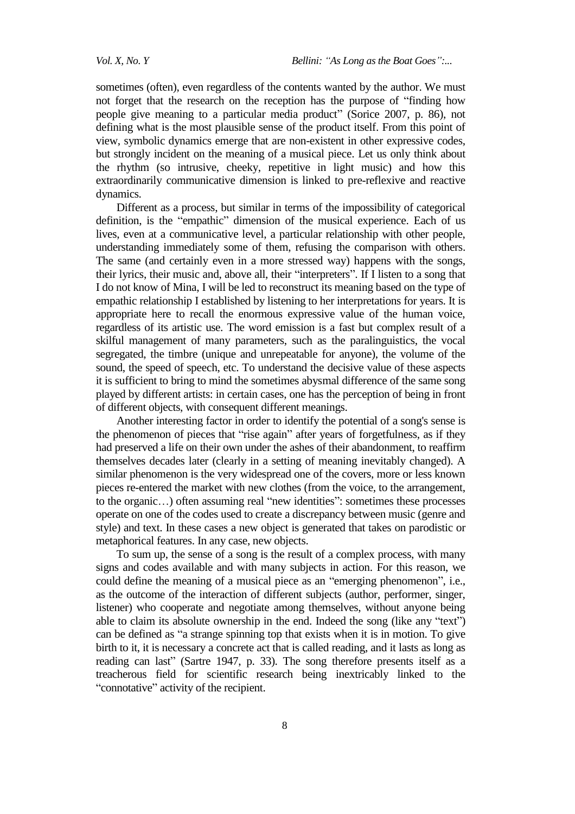sometimes (often), even regardless of the contents wanted by the author. We must not forget that the research on the reception has the purpose of "finding how people give meaning to a particular media product" (Sorice 2007, p. 86), not defining what is the most plausible sense of the product itself. From this point of view, symbolic dynamics emerge that are non-existent in other expressive codes, but strongly incident on the meaning of a musical piece. Let us only think about the rhythm (so intrusive, cheeky, repetitive in light music) and how this extraordinarily communicative dimension is linked to pre-reflexive and reactive dynamics.

Different as a process, but similar in terms of the impossibility of categorical definition, is the "empathic" dimension of the musical experience. Each of us lives, even at a communicative level, a particular relationship with other people, understanding immediately some of them, refusing the comparison with others. The same (and certainly even in a more stressed way) happens with the songs, their lyrics, their music and, above all, their "interpreters". If I listen to a song that I do not know of Mina, I will be led to reconstruct its meaning based on the type of empathic relationship I established by listening to her interpretations for years. It is appropriate here to recall the enormous expressive value of the human voice, regardless of its artistic use. The word emission is a fast but complex result of a skilful management of many parameters, such as the paralinguistics, the vocal segregated, the timbre (unique and unrepeatable for anyone), the volume of the sound, the speed of speech, etc. To understand the decisive value of these aspects it is sufficient to bring to mind the sometimes abysmal difference of the same song played by different artists: in certain cases, one has the perception of being in front of different objects, with consequent different meanings.

Another interesting factor in order to identify the potential of a song's sense is the phenomenon of pieces that "rise again" after years of forgetfulness, as if they had preserved a life on their own under the ashes of their abandonment, to reaffirm themselves decades later (clearly in a setting of meaning inevitably changed). A similar phenomenon is the very widespread one of the covers, more or less known pieces re-entered the market with new clothes (from the voice, to the arrangement, to the organic…) often assuming real "new identities": sometimes these processes operate on one of the codes used to create a discrepancy between music (genre and style) and text. In these cases a new object is generated that takes on parodistic or metaphorical features. In any case, new objects.

To sum up, the sense of a song is the result of a complex process, with many signs and codes available and with many subjects in action. For this reason, we could define the meaning of a musical piece as an "emerging phenomenon", i.e., as the outcome of the interaction of different subjects (author, performer, singer, listener) who cooperate and negotiate among themselves, without anyone being able to claim its absolute ownership in the end. Indeed the song (like any "text") can be defined as "a strange spinning top that exists when it is in motion. To give birth to it, it is necessary a concrete act that is called reading, and it lasts as long as reading can last" (Sartre 1947, p. 33). The song therefore presents itself as a treacherous field for scientific research being inextricably linked to the "connotative" activity of the recipient.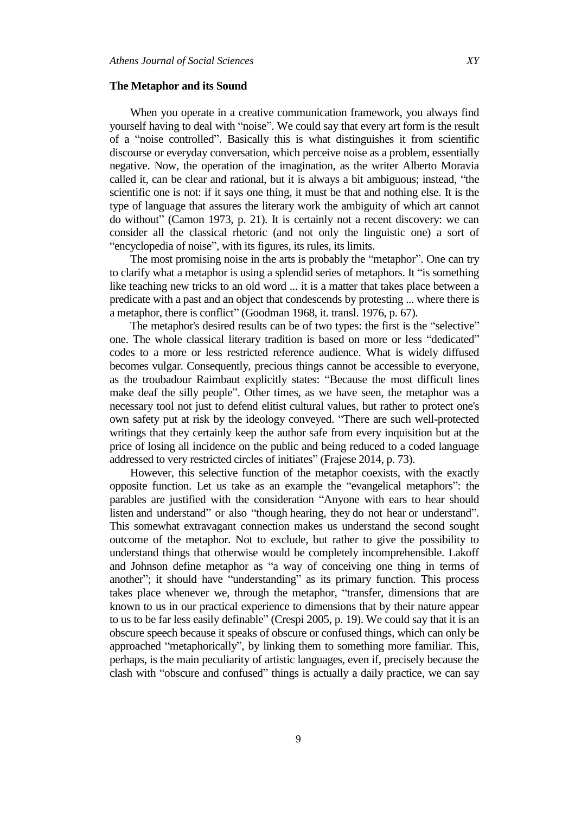#### **The Metaphor and its Sound**

When you operate in a creative communication framework, you always find yourself having to deal with "noise". We could say that every art form is the result of a "noise controlled". Basically this is what distinguishes it from scientific discourse or everyday conversation, which perceive noise as a problem, essentially negative. Now, the operation of the imagination, as the writer Alberto Moravia called it, can be clear and rational, but it is always a bit ambiguous; instead, "the scientific one is not: if it says one thing, it must be that and nothing else. It is the type of language that assures the literary work the ambiguity of which art cannot do without" (Camon 1973, p. 21). It is certainly not a recent discovery: we can consider all the classical rhetoric (and not only the linguistic one) a sort of "encyclopedia of noise", with its figures, its rules, its limits.

The most promising noise in the arts is probably the "metaphor". One can try to clarify what a metaphor is using a splendid series of metaphors. It "is something like teaching new tricks to an old word ... it is a matter that takes place between a predicate with a past and an object that condescends by protesting ... where there is a metaphor, there is conflict" (Goodman 1968, it. transl. 1976, p. 67).

The metaphor's desired results can be of two types: the first is the "selective" one. The whole classical literary tradition is based on more or less "dedicated" codes to a more or less restricted reference audience. What is widely diffused becomes vulgar. Consequently, precious things cannot be accessible to everyone, as the troubadour Raimbaut explicitly states: "Because the most difficult lines make deaf the silly people". Other times, as we have seen, the metaphor was a necessary tool not just to defend elitist cultural values, but rather to protect one's own safety put at risk by the ideology conveyed. "There are such well-protected writings that they certainly keep the author safe from every inquisition but at the price of losing all incidence on the public and being reduced to a coded language addressed to very restricted circles of initiates" (Frajese 2014, p. 73).

However, this selective function of the metaphor coexists, with the exactly opposite function. Let us take as an example the "evangelical metaphors": the parables are justified with the consideration "Anyone with ears to hear should listen and understand" or also "though hearing, they do not hear or understand". This somewhat extravagant connection makes us understand the second sought outcome of the metaphor. Not to exclude, but rather to give the possibility to understand things that otherwise would be completely incomprehensible. Lakoff and Johnson define metaphor as "a way of conceiving one thing in terms of another"; it should have "understanding" as its primary function. This process takes place whenever we, through the metaphor, "transfer, dimensions that are known to us in our practical experience to dimensions that by their nature appear to us to be far less easily definable" (Crespi 2005, p. 19). We could say that it is an obscure speech because it speaks of obscure or confused things, which can only be approached "metaphorically", by linking them to something more familiar. This, perhaps, is the main peculiarity of artistic languages, even if, precisely because the clash with "obscure and confused" things is actually a daily practice, we can say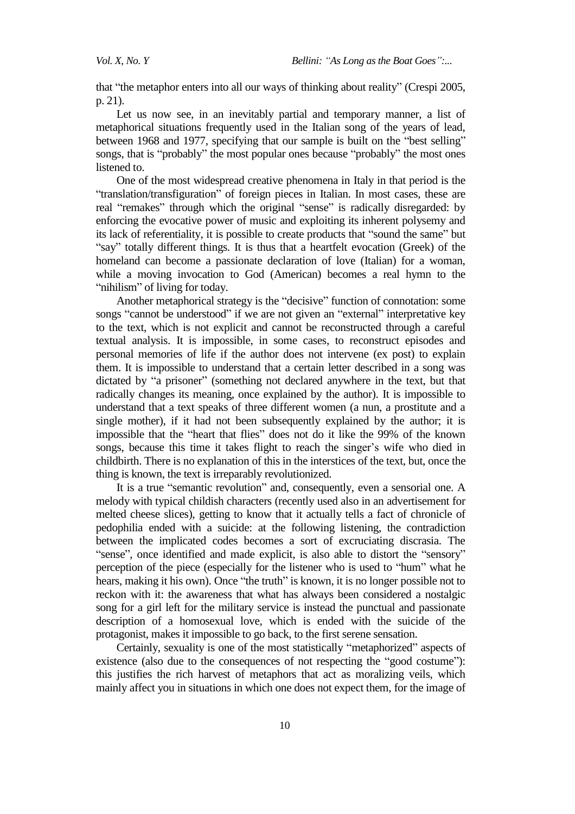*Vol. X, No. Y Bellini: "As Long as the Boat Goes":...* 

that "the metaphor enters into all our ways of thinking about reality" (Crespi 2005, p. 21).

Let us now see, in an inevitably partial and temporary manner, a list of metaphorical situations frequently used in the Italian song of the years of lead, between 1968 and 1977, specifying that our sample is built on the "best selling" songs, that is "probably" the most popular ones because "probably" the most ones listened to.

One of the most widespread creative phenomena in Italy in that period is the "translation/transfiguration" of foreign pieces in Italian. In most cases, these are real "remakes" through which the original "sense" is radically disregarded: by enforcing the evocative power of music and exploiting its inherent polysemy and its lack of referentiality, it is possible to create products that "sound the same" but "say" totally different things. It is thus that a heartfelt evocation (Greek) of the homeland can become a passionate declaration of love (Italian) for a woman, while a moving invocation to God (American) becomes a real hymn to the "nihilism" of living for today.

Another metaphorical strategy is the "decisive" function of connotation: some songs "cannot be understood" if we are not given an "external" interpretative key to the text, which is not explicit and cannot be reconstructed through a careful textual analysis. It is impossible, in some cases, to reconstruct episodes and personal memories of life if the author does not intervene (ex post) to explain them. It is impossible to understand that a certain letter described in a song was dictated by "a prisoner" (something not declared anywhere in the text, but that radically changes its meaning, once explained by the author). It is impossible to understand that a text speaks of three different women (a nun, a prostitute and a single mother), if it had not been subsequently explained by the author; it is impossible that the "heart that flies" does not do it like the 99% of the known songs, because this time it takes flight to reach the singer's wife who died in childbirth. There is no explanation of this in the interstices of the text, but, once the thing is known, the text is irreparably revolutionized.

It is a true "semantic revolution" and, consequently, even a sensorial one. A melody with typical childish characters (recently used also in an advertisement for melted cheese slices), getting to know that it actually tells a fact of chronicle of pedophilia ended with a suicide: at the following listening, the contradiction between the implicated codes becomes a sort of excruciating discrasia. The "sense", once identified and made explicit, is also able to distort the "sensory" perception of the piece (especially for the listener who is used to "hum" what he hears, making it his own). Once "the truth" is known, it is no longer possible not to reckon with it: the awareness that what has always been considered a nostalgic song for a girl left for the military service is instead the punctual and passionate description of a homosexual love, which is ended with the suicide of the protagonist, makes it impossible to go back, to the first serene sensation.

Certainly, sexuality is one of the most statistically "metaphorized" aspects of existence (also due to the consequences of not respecting the "good costume"): this justifies the rich harvest of metaphors that act as moralizing veils, which mainly affect you in situations in which one does not expect them, for the image of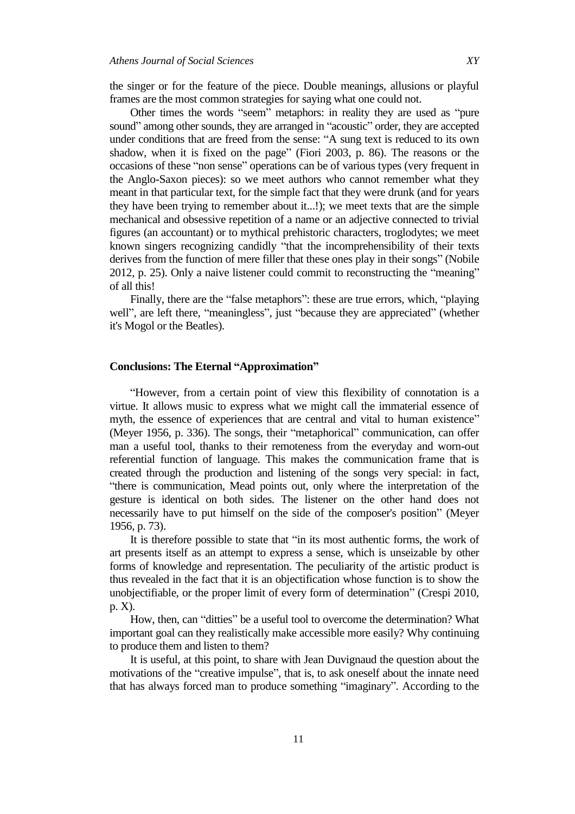the singer or for the feature of the piece. Double meanings, allusions or playful frames are the most common strategies for saying what one could not.

Other times the words "seem" metaphors: in reality they are used as "pure sound" among other sounds, they are arranged in "acoustic" order, they are accepted under conditions that are freed from the sense: "A sung text is reduced to its own shadow, when it is fixed on the page" (Fiori 2003, p. 86). The reasons or the occasions of these "non sense" operations can be of various types (very frequent in the Anglo-Saxon pieces): so we meet authors who cannot remember what they meant in that particular text, for the simple fact that they were drunk (and for years they have been trying to remember about it...!); we meet texts that are the simple mechanical and obsessive repetition of a name or an adjective connected to trivial figures (an accountant) or to mythical prehistoric characters, troglodytes; we meet known singers recognizing candidly "that the incomprehensibility of their texts derives from the function of mere filler that these ones play in their songs" (Nobile 2012, p. 25). Only a naive listener could commit to reconstructing the "meaning" of all this!

Finally, there are the "false metaphors": these are true errors, which, "playing well", are left there, "meaningless", just "because they are appreciated" (whether it's Mogol or the Beatles).

## **Conclusions: The Eternal "Approximation"**

"However, from a certain point of view this flexibility of connotation is a virtue. It allows music to express what we might call the immaterial essence of myth, the essence of experiences that are central and vital to human existence" (Meyer 1956, p. 336). The songs, their "metaphorical" communication, can offer man a useful tool, thanks to their remoteness from the everyday and worn-out referential function of language. This makes the communication frame that is created through the production and listening of the songs very special: in fact, "there is communication, Mead points out, only where the interpretation of the gesture is identical on both sides. The listener on the other hand does not necessarily have to put himself on the side of the composer's position" (Meyer 1956, p. 73).

It is therefore possible to state that "in its most authentic forms, the work of art presents itself as an attempt to express a sense, which is unseizable by other forms of knowledge and representation. The peculiarity of the artistic product is thus revealed in the fact that it is an objectification whose function is to show the unobjectifiable, or the proper limit of every form of determination" (Crespi 2010, p. X).

How, then, can "ditties" be a useful tool to overcome the determination? What important goal can they realistically make accessible more easily? Why continuing to produce them and listen to them?

It is useful, at this point, to share with Jean Duvignaud the question about the motivations of the "creative impulse", that is, to ask oneself about the innate need that has always forced man to produce something "imaginary". According to the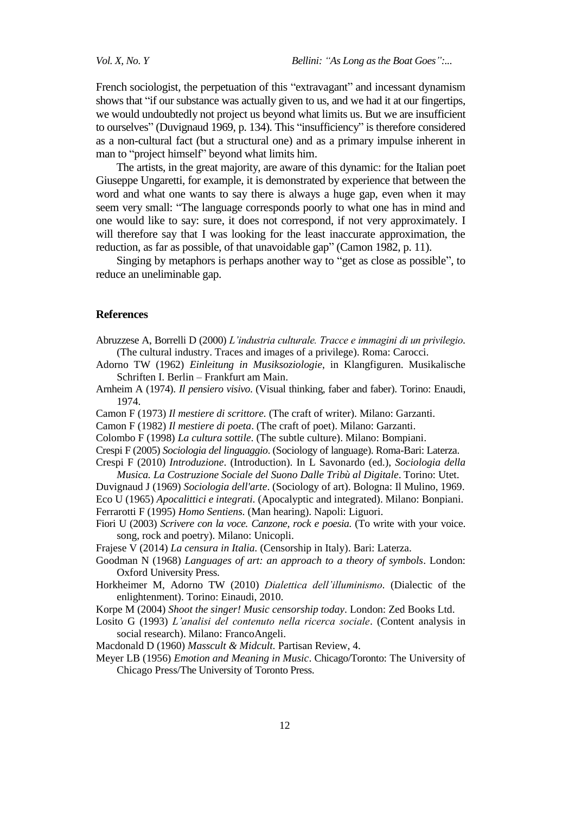French sociologist, the perpetuation of this "extravagant" and incessant dynamism shows that "if our substance was actually given to us, and we had it at our fingertips, we would undoubtedly not project us beyond what limits us. But we are insufficient to ourselves" (Duvignaud 1969, p. 134). This "insufficiency" is therefore considered as a non-cultural fact (but a structural one) and as a primary impulse inherent in man to "project himself" beyond what limits him.

The artists, in the great majority, are aware of this dynamic: for the Italian poet Giuseppe Ungaretti, for example, it is demonstrated by experience that between the word and what one wants to say there is always a huge gap, even when it may seem very small: "The language corresponds poorly to what one has in mind and one would like to say: sure, it does not correspond, if not very approximately. I will therefore say that I was looking for the least inaccurate approximation, the reduction, as far as possible, of that unavoidable gap" (Camon 1982, p. 11).

Singing by metaphors is perhaps another way to "get as close as possible", to reduce an uneliminable gap.

#### **References**

- Abruzzese A, Borrelli D (2000) *L'industria culturale. Tracce e immagini di un privilegio.* (The cultural industry. Traces and images of a privilege). Roma: Carocci.
- Adorno TW (1962) *Einleitung in Musiksoziologie*, in Klangfiguren. Musikalische Schriften I. Berlin – Frankfurt am Main.
- Arnheim A (1974). *Il pensiero visivo*. (Visual thinking, faber and faber). Torino: Enaudi, 1974.
- Camon F (1973) *Il mestiere di scrittore.* (The craft of writer). Milano: Garzanti.
- Camon F (1982) *Il mestiere di poeta*. (The craft of poet). Milano: Garzanti.
- Colombo F (1998) *La cultura sottile*. (The subtle culture). Milano: Bompiani.
- Crespi F (2005) *Sociologia del linguaggio*. (Sociology of language). Roma-Bari: Laterza. Crespi F (2010) *Introduzione*. (Introduction). In L Savonardo (ed.), *Sociologia della*
- *Musica. La Costruzione Sociale del Suono Dalle Tribù al Digitale*. Torino: Utet.
- Duvignaud J (1969) *Sociologia dell'arte*. (Sociology of art). Bologna: Il Mulino, 1969. Eco U (1965) *Apocalittici e integrati.* (Apocalyptic and integrated). Milano: Bonpiani. Ferrarotti F (1995) *Homo Sentiens.* (Man hearing). Napoli: Liguori.
- Fiori U (2003) *Scrivere con la voce. Canzone, rock e poesia.* (To write with your voice.
	- song, rock and poetry). Milano: Unicopli.

Frajese V (2014) *La censura in Italia.* (Censorship in Italy). Bari: Laterza.

- Goodman N (1968) *Languages of art: an approach to a theory of symbols*. London: Oxford University Press.
- Horkheimer M, Adorno TW (2010) *Dialettica dell'illuminismo.* (Dialectic of the enlightenment). Torino: Einaudi, 2010.
- Korpe M (2004) *Shoot the singer! Music censorship today*. London: Zed Books Ltd.
- Losito G (1993) *L'analisi del contenuto nella ricerca sociale*. (Content analysis in social research). Milano: FrancoAngeli.
- Macdonald D (1960) *Masscult & Midcult.* Partisan Review, 4.
- Meyer LB (1956) *Emotion and Meaning in Music*. Chicago/Toronto: The University of Chicago Press/The University of Toronto Press.